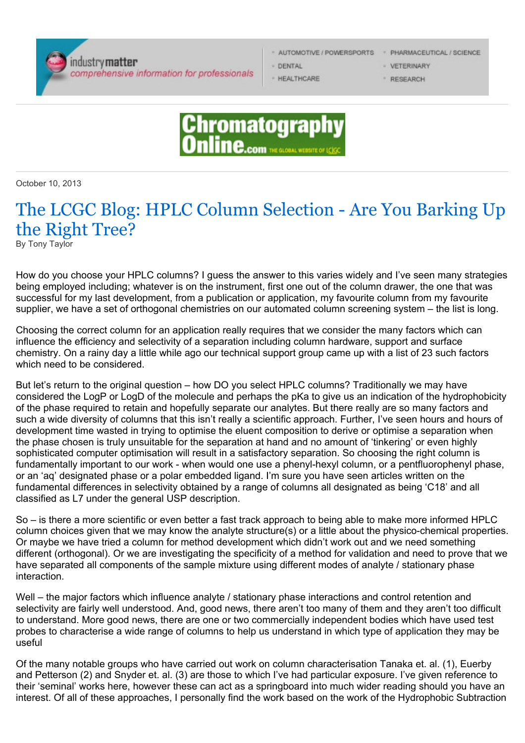

- 
- DENTAL
- *F* HEALTHCARE

· AUTOMOTIVE / POWERSPORTS · PHARMACEUTICAL / SCIENCE

- VETERINARY
- **E RESEARCH**



October 10, 2013

## The LCGC Blog: HPLC Column Selection - Are You Barking Up the Right Tree?

By Tony Taylor

How do you choose your HPLC columns? I guess the answer to this varies widely and I've seen many strategies being employed including; whatever is on the instrument, first one out of the column drawer, the one that was successful for my last development, from a publication or application, my favourite column from my favourite supplier, we have a set of orthogonal chemistries on our automated column screening system – the list is long.

Choosing the correct column for an application really requires that we consider the many factors which can influence the efficiency and selectivity of a separation including column hardware, support and surface chemistry. On a rainy day a little while ago our technical support group came up with a list of 23 such factors which need to be considered.

But let's return to the original question – how DO you select HPLC columns? Traditionally we may have considered the LogP or LogD of the molecule and perhaps the pKa to give us an indication of the hydrophobicity of the phase required to retain and hopefully separate our analytes. But there really are so many factors and such a wide diversity of columns that this isn't really a scientific approach. Further, I've seen hours and hours of development time wasted in trying to optimise the eluent composition to derive or optimise a separation when the phase chosen is truly unsuitable for the separation at hand and no amount of 'tinkering' or even highly sophisticated computer optimisation will result in a satisfactory separation. So choosing the right column is fundamentally important to our work - when would one use a phenyl-hexyl column, or a pentfluorophenyl phase, or an 'aq' designated phase or a polar embedded ligand. I'm sure you have seen articles written on the fundamental differences in selectivity obtained by a range of columns all designated as being 'C18' and all classified as L7 under the general USP description.

So – is there a more scientific or even better a fast track approach to being able to make more informed HPLC column choices given that we may know the analyte structure(s) or a little about the physico-chemical properties. Or maybe we have tried a column for method development which didn't work out and we need something different (orthogonal). Or we are investigating the specificity of a method for validation and need to prove that we have separated all components of the sample mixture using different modes of analyte / stationary phase interaction.

Well – the major factors which influence analyte / stationary phase interactions and control retention and selectivity are fairly well understood. And, good news, there aren't too many of them and they aren't too difficult to understand. More good news, there are one or two commercially independent bodies which have used test probes to characterise a wide range of columns to help us understand in which type of application they may be useful

Of the many notable groups who have carried out work on column characterisation Tanaka et. al. (1), Euerby and Petterson (2) and Snyder et. al. (3) are those to which I've had particular exposure. I've given reference to their 'seminal' works here, however these can act as a springboard into much wider reading should you have an interest. Of all of these approaches, I personally find the work based on the work of the Hydrophobic Subtraction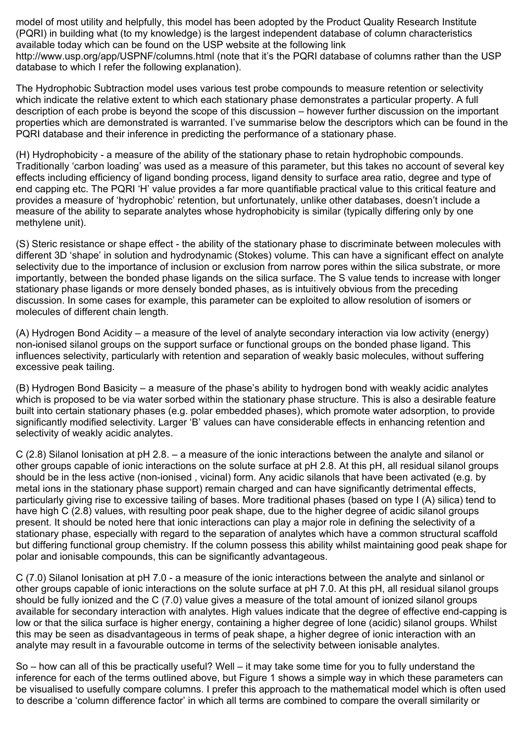model of most utility and helpfully, this model has been adopted by the Product Quality Research Institute (PQRI) in building what (to my knowledge) is the largest independent database of column characteristics available today which can be found on the USP website at the following link

http://www.usp.org/app/USPNF/columns.html (note that it's the PQRI database of columns rather than the USP database to which I refer the following explanation).

The Hydrophobic Subtraction model uses various test probe compounds to measure retention or selectivity which indicate the relative extent to which each stationary phase demonstrates a particular property. A full description of each probe is beyond the scope of this discussion – however further discussion on the important properties which are demonstrated is warranted. I've summarise below the descriptors which can be found in the PQRI database and their inference in predicting the performance of a stationary phase.

(H) Hydrophobicity - a measure of the ability of the stationary phase to retain hydrophobic compounds. Traditionally 'carbon loading' was used as a measure of this parameter, but this takes no account of several key effects including efficiency of ligand bonding process, ligand density to surface area ratio, degree and type of end capping etc. The PQRI 'H' value provides a far more quantifiable practical value to this critical feature and provides a measure of 'hydrophobic' retention, but unfortunately, unlike other databases, doesn't include a measure of the ability to separate analytes whose hydrophobicity is similar (typically differing only by one methylene unit).

(S) Steric resistance or shape effect - the ability of the stationary phase to discriminate between molecules with different 3D 'shape' in solution and hydrodynamic (Stokes) volume. This can have a significant effect on analyte selectivity due to the importance of inclusion or exclusion from narrow pores within the silica substrate, or more importantly, between the bonded phase ligands on the silica surface. The S value tends to increase with longer stationary phase ligands or more densely bonded phases, as is intuitively obvious from the preceding discussion. In some cases for example, this parameter can be exploited to allow resolution of isomers or molecules of different chain length.

(A) Hydrogen Bond Acidity – a measure of the level of analyte secondary interaction via low activity (energy) non-ionised silanol groups on the support surface or functional groups on the bonded phase ligand. This influences selectivity, particularly with retention and separation of weakly basic molecules, without suffering excessive peak tailing.

(B) Hydrogen Bond Basicity – a measure of the phase's ability to hydrogen bond with weakly acidic analytes which is proposed to be via water sorbed within the stationary phase structure. This is also a desirable feature built into certain stationary phases (e.g. polar embedded phases), which promote water adsorption, to provide significantly modified selectivity. Larger 'B' values can have considerable effects in enhancing retention and selectivity of weakly acidic analytes.

C (2.8) Silanol Ionisation at pH 2.8. – a measure of the ionic interactions between the analyte and silanol or other groups capable of ionic interactions on the solute surface at pH 2.8. At this pH, all residual silanol groups should be in the less active (non-ionised , vicinal) form. Any acidic silanols that have been activated (e.g. by metal ions in the stationary phase support) remain charged and can have significantly detrimental effects, particularly giving rise to excessive tailing of bases. More traditional phases (based on type I (A) silica) tend to have high C (2.8) values, with resulting poor peak shape, due to the higher degree of acidic silanol groups present. It should be noted here that ionic interactions can play a major role in defining the selectivity of a stationary phase, especially with regard to the separation of analytes which have a common structural scaffold but differing functional group chemistry. If the column possess this ability whilst maintaining good peak shape for polar and ionisable compounds, this can be significantly advantageous.

C (7.0) Silanol Ionisation at pH 7.0 - a measure of the ionic interactions between the analyte and sinlanol or other groups capable of ionic interactions on the solute surface at pH 7.0. At this pH, all residual silanol groups should be fully ionized and the C (7.0) value gives a measure of the total amount of ionized silanol groups available for secondary interaction with analytes. High values indicate that the degree of effective end-capping is low or that the silica surface is higher energy, containing a higher degree of lone (acidic) silanol groups. Whilst this may be seen as disadvantageous in terms of peak shape, a higher degree of ionic interaction with an analyte may result in a favourable outcome in terms of the selectivity between ionisable analytes.

So – how can all of this be practically useful? Well – it may take some time for you to fully understand the inference for each of the terms outlined above, but Figure 1 shows a simple way in which these parameters can be visualised to usefully compare columns. I prefer this approach to the mathematical model which is often used to describe a 'column difference factor' in which all terms are combined to compare the overall similarity or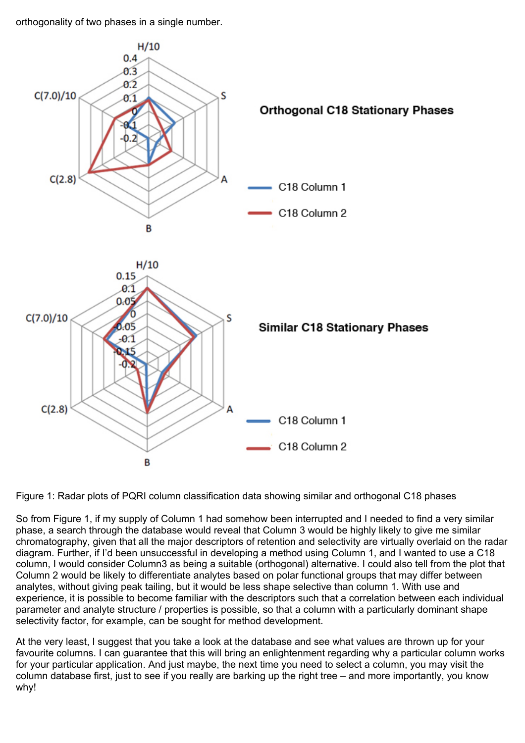orthogonality of two phases in a single number.



Figure 1: Radar plots of PQRI column classification data showing similar and orthogonal C18 phases

So from Figure 1, if my supply of Column 1 had somehow been interrupted and I needed to find a very similar phase, a search through the database would reveal that Column 3 would be highly likely to give me similar chromatography, given that all the major descriptors of retention and selectivity are virtually overlaid on the radar diagram. Further, if I'd been unsuccessful in developing a method using Column 1, and I wanted to use a C18 column, I would consider Column3 as being a suitable (orthogonal) alternative. I could also tell from the plot that Column 2 would be likely to differentiate analytes based on polar functional groups that may differ between analytes, without giving peak tailing, but it would be less shape selective than column 1. With use and experience, it is possible to become familiar with the descriptors such that a correlation between each individual parameter and analyte structure / properties is possible, so that a column with a particularly dominant shape selectivity factor, for example, can be sought for method development.

At the very least, I suggest that you take a look at the database and see what values are thrown up for your favourite columns. I can guarantee that this will bring an enlightenment regarding why a particular column works for your particular application. And just maybe, the next time you need to select a column, you may visit the column database first, just to see if you really are barking up the right tree – and more importantly, you know why!